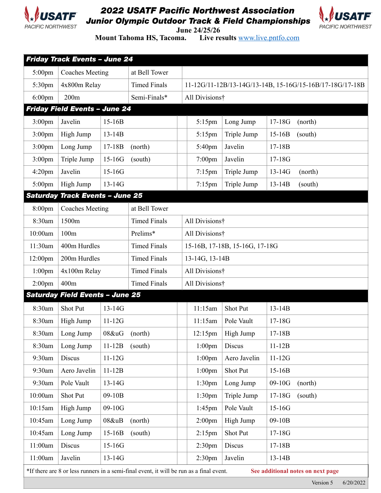

## *2022 USATF Pacific Northwest Association Junior Olympic Outdoor Track & Field Championships*



**June 24/25/26**<br>**Mount Tahoma HS, Tacoma.** Live re Live results **[www.live.pntfo.com](http://www.live.pntfo.com)** 

| Friday Track Events - June 24                                                                                                |                                        |               |                     |  |                                                          |              |            |         |  |  |  |  |
|------------------------------------------------------------------------------------------------------------------------------|----------------------------------------|---------------|---------------------|--|----------------------------------------------------------|--------------|------------|---------|--|--|--|--|
| 5:00pm                                                                                                                       | <b>Coaches Meeting</b>                 |               | at Bell Tower       |  |                                                          |              |            |         |  |  |  |  |
| 5:30pm                                                                                                                       | 4x800m Relay                           |               | <b>Timed Finals</b> |  | 11-12G/11-12B/13-14G/13-14B, 15-16G/15-16B/17-18G/17-18B |              |            |         |  |  |  |  |
| $6:00$ pm                                                                                                                    | 200m                                   |               | Semi-Finals*        |  | All Divisions†                                           |              |            |         |  |  |  |  |
| <b>Friday Field Events - June 24</b>                                                                                         |                                        |               |                     |  |                                                          |              |            |         |  |  |  |  |
| $3:00$ pm                                                                                                                    | Javelin                                | $15-16B$      |                     |  | 5:15pm                                                   | Long Jump    | $17 - 18G$ | (north) |  |  |  |  |
| 3:00 <sub>pm</sub>                                                                                                           | High Jump                              | $13 - 14B$    |                     |  | 5:15pm                                                   | Triple Jump  | $15-16B$   | (south) |  |  |  |  |
| $3:00$ pm                                                                                                                    | Long Jump                              | $17 - 18B$    | (north)             |  | 5:40pm                                                   | Javelin      | $17-18B$   |         |  |  |  |  |
| $3:00$ pm                                                                                                                    | Triple Jump                            | $15-16G$      | (south)             |  | $7:00$ pm                                                | Javelin      | $17 - 18G$ |         |  |  |  |  |
| $4:20$ pm                                                                                                                    | Javelin                                | $15-16G$      |                     |  | $7:15$ pm                                                | Triple Jump  | $13 - 14G$ | (north) |  |  |  |  |
| $5:00$ pm                                                                                                                    | High Jump                              | $13 - 14G$    |                     |  | $7:15$ pm                                                | Triple Jump  | $13 - 14B$ | (south) |  |  |  |  |
| <b>Saturday Track Events - June 25</b>                                                                                       |                                        |               |                     |  |                                                          |              |            |         |  |  |  |  |
| 8:00pm                                                                                                                       | <b>Coaches Meeting</b>                 |               | at Bell Tower       |  |                                                          |              |            |         |  |  |  |  |
| 8:30am                                                                                                                       | 1500m                                  |               | <b>Timed Finals</b> |  | All Divisions†                                           |              |            |         |  |  |  |  |
| 10:00am                                                                                                                      | 100m                                   |               | Prelims*            |  | All Divisions†                                           |              |            |         |  |  |  |  |
| 11:30am                                                                                                                      | 400m Hurdles                           |               | <b>Timed Finals</b> |  | 15-16B, 17-18B, 15-16G, 17-18G                           |              |            |         |  |  |  |  |
| 12:00pm                                                                                                                      | 200m Hurdles                           |               | <b>Timed Finals</b> |  | 13-14G, 13-14B                                           |              |            |         |  |  |  |  |
| $1:00$ pm                                                                                                                    | 4x100m Relay                           |               | <b>Timed Finals</b> |  | All Divisions†                                           |              |            |         |  |  |  |  |
| $2:00$ pm                                                                                                                    | 400m                                   |               | <b>Timed Finals</b> |  | All Divisions†                                           |              |            |         |  |  |  |  |
|                                                                                                                              | <b>Saturday Field Events - June 25</b> |               |                     |  |                                                          |              |            |         |  |  |  |  |
| 8:30am                                                                                                                       | <b>Shot Put</b>                        | $13 - 14G$    |                     |  | 11:15am                                                  | Shot Put     | $13 - 14B$ |         |  |  |  |  |
| 8:30am                                                                                                                       | High Jump                              | $11-12G$      |                     |  | 11:15am                                                  | Pole Vault   | $17 - 18G$ |         |  |  |  |  |
| 8:30am                                                                                                                       | Long Jump                              | 08&uG (north) |                     |  | 12:15pm                                                  | High Jump    | 17-18B     |         |  |  |  |  |
| 8:30am                                                                                                                       | Long Jump                              | $11-12B$      | (south)             |  | $1:00$ pm                                                | Discus       | $11-12B$   |         |  |  |  |  |
| 9:30am                                                                                                                       | Discus                                 | $11-12G$      |                     |  | $1:00$ pm                                                | Aero Javelin | $11-12G$   |         |  |  |  |  |
| 9:30am                                                                                                                       | Aero Javelin                           | $11-12B$      |                     |  | $1:00$ pm                                                | Shot Put     | $15-16B$   |         |  |  |  |  |
| 9:30am                                                                                                                       | Pole Vault                             | $13 - 14G$    |                     |  | 1:30 <sub>pm</sub>                                       | Long Jump    | $09-10G$   | (north) |  |  |  |  |
| 10:00am                                                                                                                      | Shot Put                               | 09-10B        |                     |  | 1:30 <sub>pm</sub>                                       | Triple Jump  | $17 - 18G$ | (south) |  |  |  |  |
| 10:15am                                                                                                                      | High Jump                              | $09-10G$      |                     |  | $1:45$ pm                                                | Pole Vault   | $15-16G$   |         |  |  |  |  |
| 10:45am                                                                                                                      | Long Jump                              | 08&uB         | (north)             |  | 2:00 <sub>pm</sub>                                       | High Jump    | 09-10B     |         |  |  |  |  |
| 10:45am                                                                                                                      | Long Jump                              | $15-16B$      | (south)             |  | $2:15$ pm                                                | Shot Put     | $17 - 18G$ |         |  |  |  |  |
| 11:00am                                                                                                                      | Discus                                 | $15 - 16G$    |                     |  | 2:30 <sub>pm</sub>                                       | Discus       | $17-18B$   |         |  |  |  |  |
| 11:00am                                                                                                                      | Javelin                                | $13 - 14G$    |                     |  | 2:30 <sub>pm</sub>                                       | Javelin      | $13 - 14B$ |         |  |  |  |  |
| *If there are 8 or less runners in a semi-final event, it will be run as a final event.<br>See additional notes on next page |                                        |               |                     |  |                                                          |              |            |         |  |  |  |  |